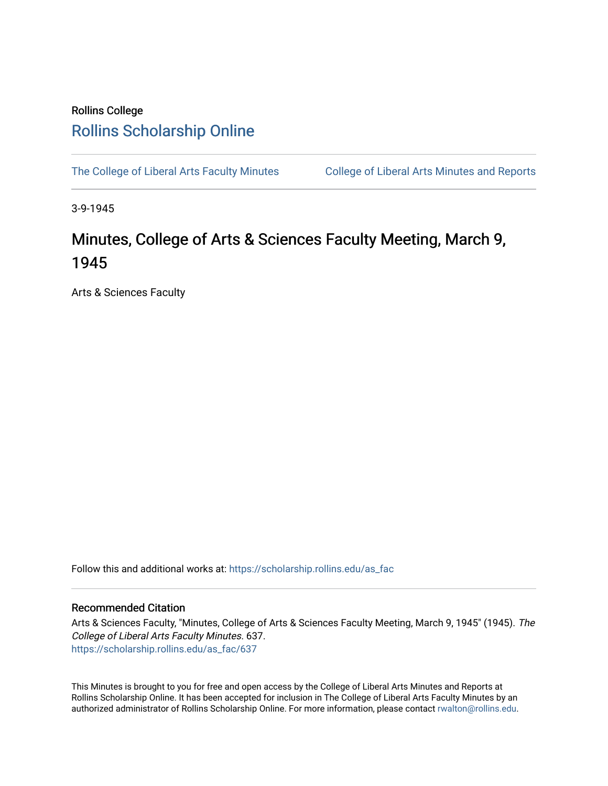## Rollins College [Rollins Scholarship Online](https://scholarship.rollins.edu/)

[The College of Liberal Arts Faculty Minutes](https://scholarship.rollins.edu/as_fac) College of Liberal Arts Minutes and Reports

3-9-1945

## Minutes, College of Arts & Sciences Faculty Meeting, March 9, 1945

Arts & Sciences Faculty

Follow this and additional works at: [https://scholarship.rollins.edu/as\\_fac](https://scholarship.rollins.edu/as_fac?utm_source=scholarship.rollins.edu%2Fas_fac%2F637&utm_medium=PDF&utm_campaign=PDFCoverPages) 

## Recommended Citation

Arts & Sciences Faculty, "Minutes, College of Arts & Sciences Faculty Meeting, March 9, 1945" (1945). The College of Liberal Arts Faculty Minutes. 637. [https://scholarship.rollins.edu/as\\_fac/637](https://scholarship.rollins.edu/as_fac/637?utm_source=scholarship.rollins.edu%2Fas_fac%2F637&utm_medium=PDF&utm_campaign=PDFCoverPages) 

This Minutes is brought to you for free and open access by the College of Liberal Arts Minutes and Reports at Rollins Scholarship Online. It has been accepted for inclusion in The College of Liberal Arts Faculty Minutes by an authorized administrator of Rollins Scholarship Online. For more information, please contact [rwalton@rollins.edu](mailto:rwalton@rollins.edu).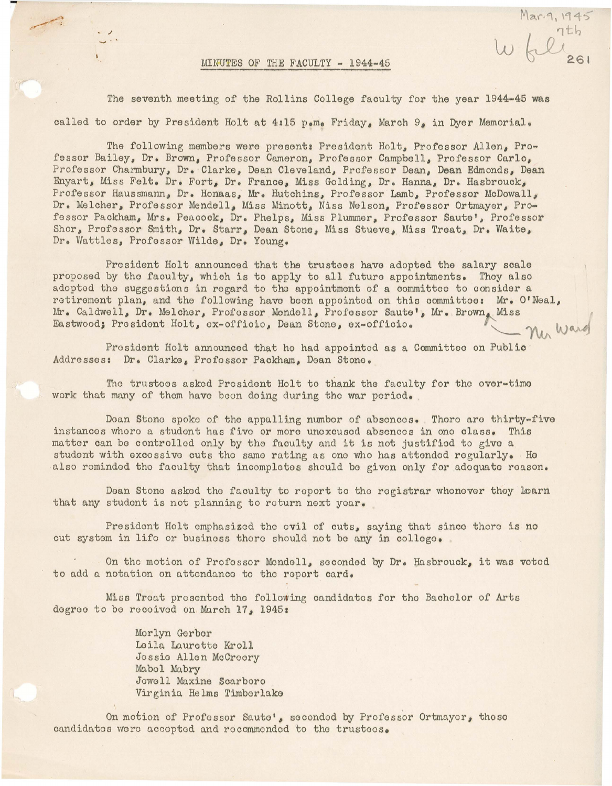## MINUTES OF THE FACULTY - 1944-45

Mar. 9, 1945

 $\overline{\phantom{a}}$ 

The seventh meeting of the Rollins College faculty for the year 1944-45 was called to order by President Holt at 4:15 p.m. Friday, March 9, in Dyer Memorial.

The following members were present: President Holt, Professor Allen, Professor Bailey, Dr. Brown, Professor Cameron, Professor Campbell, Professor Carlo, Professor Charmbury, Dr. Clarke, Dean Cleveland, Professor Dean, Dean Edmonds, Dean Enyart, Miss Felt. Dr. Fort, Dr. France, Miss Golding, Dr. Hanna, Dr. Hasbrouck, Professor Haussmann, Dr. Honaas, Mr. Hutchins, Professor Lamb, Professor McDowall, Dr. Melcher, Professor Mendell, Miss Minott, Niss Nelson, Professor Ortmayer, Professor Packham, Mrs. Peacock, Dr. Phelps, Miss Plummer, Professor Saute', Professor Shor, Professor Smith, Dr. Starr, Dean Stone, Miss Stueve, Miss Treat, Dr. Waite, Dr. Wattles, Professor Wilde, Dr. Young.

President Holt announced that the trustees have adopted the salary scale proposed by tho faculty, which is to apply to all future appointments. Thoy also adopted the suggestions in regard to the appointment of a committee to consider a retirement plan, and the following have been appointed on this committee: Mr. O'Neal, Mr. Caldwell, Dr. Melcher, Professor Mendell, Professor Saute', Mr. Brown, Miss Eastwood; President Holt, ox-officio, Doan Stone, ex-officio. Ner Ward

Prosidont Holt announced that ho had appointed as a Committoo on Public Addresses: Dr. Clarke, Profossor Packham, Doan Stone.

Tho trusteos asked President Holt to thank tho faculty for tho over-timo work that many of them have been doing during the war period.

Doan Stone spoke of the appalling number of absences. Thore are thirty-five instances whore a student has five or more unexcusod absences in ono class. This matter can be controlled only by tho faculty and it is not justified to give a student with excessive cuts the same rating as one who has attended regularly. He also rominded the faculty that incompletes should be given only for adequate reason.

Dean Stone asked the faculty to report to the registrar whonever they learn that any student is not planning to return next year.

President Holt omphasizod tho ovil of outs, saying that since thoro is no cut system in life or business thoro should not bo any in colloge.

On the motion of Profossor Mondell, seconded by Dr. Hasbrouck, it was voted to add a notation on attendance to the report card.

Miss Treat presented tho following candidates for tho Bachelor of Arts dogroo to bo recoived on March 17, 1945:

> Merlyn Gerber Laila Laurette Kroll Jossie Allen McCreery Mo.bel Mabry Jowell Maxine Scarboro Virginia Holms Timborlako

On motion of Profossor Sauto', seconded by Professor Ortmayer, those candidates were accepted and recommended to the trustees.